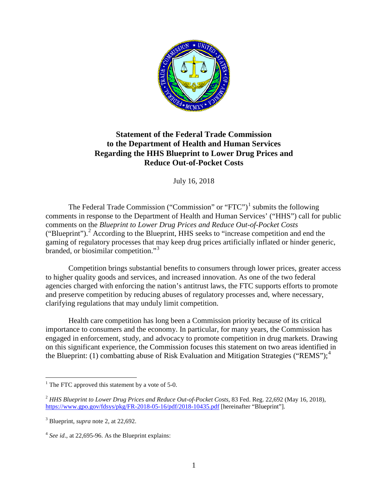

# **Statement of the Federal Trade Commission to the Department of Health and Human Services Regarding the HHS Blueprint to Lower Drug Prices and Reduce Out-of-Pocket Costs**

July 16, 2018

<span id="page-0-4"></span>The Federal Trade Commission ("Commission" or "FTC")<sup>[1](#page-0-0)</sup> submits the following comments in response to the Department of Health and Human Services' ("HHS") call for public comments on the *Blueprint to Lower Drug Prices and Reduce Out-of-Pocket Costs* ("Blueprint"). [2](#page-0-1) According to the Blueprint, HHS seeks to "increase competition and end the gaming of regulatory processes that may keep drug prices artificially inflated or hinder generic, branded, or biosimilar competition."[3](#page-0-2)

Competition brings substantial benefits to consumers through lower prices, greater access to higher quality goods and services, and increased innovation. As one of the two federal agencies charged with enforcing the nation's antitrust laws, the FTC supports efforts to promote and preserve competition by reducing abuses of regulatory processes and, where necessary, clarifying regulations that may unduly limit competition.

Health care competition has long been a Commission priority because of its critical importance to consumers and the economy. In particular, for many years, the Commission has engaged in enforcement, study, and advocacy to promote competition in drug markets. Drawing on this significant experience, the Commission focuses this statement on two areas identified in the Blueprint: (1) combatting abuse of Risk Evaluation and Mitigation Strategies ("REMS");<sup>[4](#page-0-3)</sup>

<span id="page-0-0"></span> $1$  The FTC approved this statement by a vote of 5-0.

<span id="page-0-1"></span><sup>2</sup> *HHS Blueprint to Lower Drug Prices and Reduce Out-of-Pocket Costs*, 83 Fed. Reg. 22,692 (May 16, 2018), <https://www.gpo.gov/fdsys/pkg/FR-2018-05-16/pdf/2018-10435.pdf> [hereinafter "Blueprint"].

<span id="page-0-2"></span><sup>3</sup> Blueprint, *supra* note 2, at 22,692.

<span id="page-0-3"></span><sup>4</sup> *See id*., at 22,695-96. As the Blueprint explains: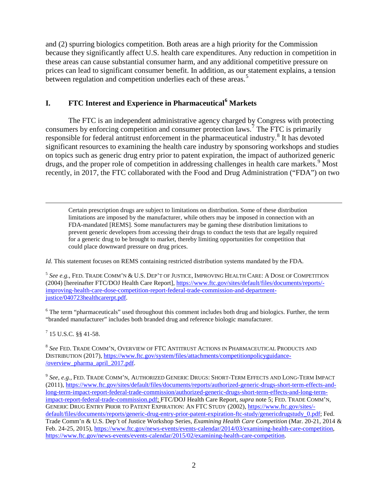and (2) spurring biologics competition. Both areas are a high priority for the Commission because they significantly affect U.S. health care expenditures. Any reduction in competition in these areas can cause substantial consumer harm, and any additional competitive pressure on prices can lead to significant consumer benefit. In addition, as our statement explains, a tension between regulation and competition underlies each of these areas.<sup>[5](#page-1-0)</sup>

# **I. FTC Interest and Experience in Pharmaceutical[6](#page-1-1) Markets**

The FTC is an independent administrative agency charged by Congress with protecting consumers by enforcing competition and consumer protection laws.[7](#page-1-2) The FTC is primarily responsible for federal antitrust enforcement in the pharmaceutical industry.<sup>[8](#page-1-3)</sup> It has devoted significant resources to examining the health care industry by sponsoring workshops and studies on topics such as generic drug entry prior to patent expiration, the impact of authorized generic drugs, and the proper role of competition in addressing challenges in health care markets. [9](#page-1-4) Most recently, in 2017, the FTC collaborated with the Food and Drug Administration ("FDA") on two

Certain prescription drugs are subject to limitations on distribution. Some of these distribution limitations are imposed by the manufacturer, while others may be imposed in connection with an FDA-mandated [REMS]. Some manufacturers may be gaming these distribution limitations to prevent generic developers from accessing their drugs to conduct the tests that are legally required for a generic drug to be brought to market, thereby limiting opportunities for competition that could place downward pressure on drug prices.

*Id.* This statement focuses on REMS containing restricted distribution systems mandated by the FDA.

<span id="page-1-0"></span><sup>5</sup> *See e.g.*, FED. TRADE COMM'N & U.S. DEP'T OF JUSTICE, IMPROVING HEALTH CARE: A DOSE OF COMPETITION (2004) [hereinafter FTC/DOJ Health Care Report], [https://www.ftc.gov/sites/default/files/documents/reports/](https://www.ftc.gov/sites/default/files/documents/reports/%1fimproving-health-care-dose-competition-report-federal-trade-commission-and-department-justice/040723healthcarerpt.pdf) [improving-health-care-dose-competition-report-federal-trade-commission-and-department](https://www.ftc.gov/sites/default/files/documents/reports/%1fimproving-health-care-dose-competition-report-federal-trade-commission-and-department-justice/040723healthcarerpt.pdf)[justice/040723healthcarerpt.pdf.](https://www.ftc.gov/sites/default/files/documents/reports/%1fimproving-health-care-dose-competition-report-federal-trade-commission-and-department-justice/040723healthcarerpt.pdf)

<span id="page-1-1"></span><sup>6</sup> The term "pharmaceuticals" used throughout this comment includes both drug and biologics. Further, the term "branded manufacturer" includes both branded drug and reference biologic manufacturer.

<span id="page-1-2"></span><sup>7</sup> 15 U.S.C. §§ 41-58.

 $\overline{a}$ 

<span id="page-1-3"></span><sup>8</sup> *See* FED. TRADE COMM'N, OVERVIEW OF FTC ANTITRUST ACTIONS IN PHARMACEUTICAL PRODUCTS AND DISTRIBUTION (2017)[, https://www.ftc.gov/system/files/attachments/competitionpolicyguidance-](https://www.ftc.gov/system/files/attachments/competitionpolicyguidance/overview_pharma_april_2017.pdf) [/overview\\_pharma\\_april\\_2017.pdf.](https://www.ftc.gov/system/files/attachments/competitionpolicyguidance/overview_pharma_april_2017.pdf)

<span id="page-1-4"></span><sup>9</sup> *See, e.g.,* FED. TRADE COMM'N, AUTHORIZED GENERIC DRUGS: SHORT-TERM EFFECTS AND LONG-TERM IMPACT (2011)[, https://www.ftc.gov/sites/default/files/documents/reports/authorized-generic-drugs-short-term-effects-and](https://www.ftc.gov/sites/default/files/documents/reports/authorized-generic-drugs-short-term-effects-and-long-term-impact-report-federal-trade-commission/authorized-generic-drugs-short-term-effects-and-long-term-impact-report-federal-trade-commission.pdf)[long-term-impact-report-federal-trade-commission/authorized-generic-drugs-short-term-effects-and-long-term](https://www.ftc.gov/sites/default/files/documents/reports/authorized-generic-drugs-short-term-effects-and-long-term-impact-report-federal-trade-commission/authorized-generic-drugs-short-term-effects-and-long-term-impact-report-federal-trade-commission.pdf)[impact-report-federal-trade-commission.pdf;](https://www.ftc.gov/sites/default/files/documents/reports/authorized-generic-drugs-short-term-effects-and-long-term-impact-report-federal-trade-commission/authorized-generic-drugs-short-term-effects-and-long-term-impact-report-federal-trade-commission.pdf) FTC/DOJ Health Care Report, *supra* note 5; FED. TRADE COMM'N, GENERIC DRUG ENTRY PRIOR TO PATENT EXPIRATION: AN FTC STUDY (2002), [https://www.ftc.gov/sites/](https://www.ftc.gov/sites/default/files/documents/reports/generic-drug-entry-prior-patent-expiration-ftc-study/genericdrugstudy_0.pdf) [default/files/documents/reports/generic-drug-entry-prior-patent-expiration-ftc-study/genericdrugstudy\\_0.pdf;](https://www.ftc.gov/sites/default/files/documents/reports/generic-drug-entry-prior-patent-expiration-ftc-study/genericdrugstudy_0.pdf) Fed. Trade Comm'n & U.S. Dep't of Justice Workshop Series*, Examining Health Care Competition* (Mar. 20-21, 2014 & Feb. 24-25, 2015), [https://www.ftc.gov/news-events/events-calendar/2014/03/examining-health-care-competition,](https://www.ftc.gov/news-events/events-calendar/2014/03/examining-health-care-competition) [https://www.ftc.gov/news-events/events-calendar/2015/02/examining-health-care-competition.](https://www.ftc.gov/news-events/events-calendar/2015/02/examining-health-care-competition)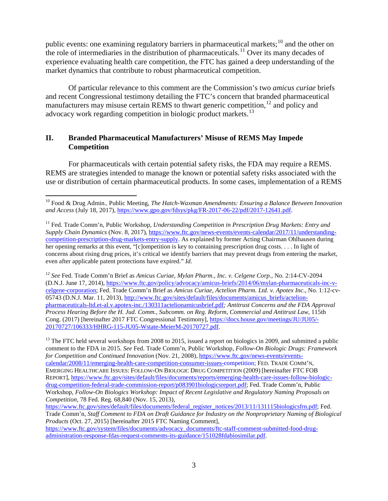public events: one examining regulatory barriers in pharmaceutical markets;<sup>[10](#page-2-0)</sup> and the other on the role of intermediaries in the distribution of pharmaceuticals.<sup>[11](#page-2-1)</sup> Over its many decades of experience evaluating health care competition, the FTC has gained a deep understanding of the market dynamics that contribute to robust pharmaceutical competition.

<span id="page-2-4"></span>Of particular relevance to this comment are the Commission's two *amicus curiae* briefs and recent Congressional testimony detailing the FTC's concern that branded pharmaceutical manufacturers may misuse certain REMS to thwart generic competition,  $^{12}$  $^{12}$  $^{12}$  and policy and advocacy work regarding competition in biologic product markets.<sup>[13](#page-2-3)</sup>

## <span id="page-2-5"></span>**II. Branded Pharmaceutical Manufacturers' Misuse of REMS May Impede Competition**

For pharmaceuticals with certain potential safety risks, the FDA may require a REMS. REMS are strategies intended to manage the known or potential safety risks associated with the use or distribution of certain pharmaceutical products. In some cases, implementation of a REMS

<span id="page-2-2"></span><sup>12</sup> *See* Fed. Trade Comm'n Brief as *Amicus Curiae*, *Mylan Pharm., Inc. v. Celgene Corp.*, No. 2:14-CV-2094 (D.N.J. June 17, 2014), [https://www.ftc.gov/policy/advocacy/amicus-briefs/2014/06/mylan-pharmaceuticals-inc-v](https://www.ftc.gov/policy/advocacy/amicus-briefs/2014/06/mylan-pharmaceuticals-inc-v-celgene-corporation)[celgene-corporation;](https://www.ftc.gov/policy/advocacy/amicus-briefs/2014/06/mylan-pharmaceuticals-inc-v-celgene-corporation) Fed. Trade Comm'n Brief as *Amicus Curiae*, *Actelion Pharm. Ltd. v. Apotex Inc*., No. 1:12-cv05743 (D.N.J. Mar. 11, 2013), [http://www.ftc.gov/sites/default/files/documents/amicus\\_briefs/actelion](http://www.ftc.gov/sites/default/files/documents/amicus_briefs/actelion-pharmaceuticals-ltd.et-al.v.apotex-inc./130311actelionamicusbrief.pdf)[pharmaceuticals-ltd.et-al.v.apotex-inc./130311actelionamicusbrief.pdf](http://www.ftc.gov/sites/default/files/documents/amicus_briefs/actelion-pharmaceuticals-ltd.et-al.v.apotex-inc./130311actelionamicusbrief.pdf)*; Antitrust Concerns and the FDA Approval Process Hearing Before the H. Jud. Comm., Subcomm. on Reg. Reform, Commercial and Antitrust Law*, 115th Cong. (2017) [hereinafter 2017 FTC Congressional Testimony], [https://docs.house.gov/meetings/JU/JU05/-](https://docs.house.gov/meetings/JU/JU05/20170727/106333/HHRG-115-JU05-Wstate-MeierM-20170727.pdf) [20170727/106333/HHRG-115-JU05-Wstate-MeierM-20170727.pdf.](https://docs.house.gov/meetings/JU/JU05/20170727/106333/HHRG-115-JU05-Wstate-MeierM-20170727.pdf)

<span id="page-2-3"></span><sup>13</sup> The FTC held several workshops from 2008 to 2015, issued a report on biologics in 2009, and submitted a public comment to the FDA in 2015. *See* Fed. Trade Comm'n, Public Workshop, *Follow-On Biologic Drugs: Framework for Competition and Continued Innovation* (Nov. 21, 2008)[, https://www.ftc.gov/news-events/events](https://www.ftc.gov/news-events/events-calendar/2008/11/emerging-health-care-competition-consumer-issues-competition)[calendar/2008/11/emerging-health-care-competition-consumer-issues-competition;](https://www.ftc.gov/news-events/events-calendar/2008/11/emerging-health-care-competition-consumer-issues-competition) FED. TRADE COMM'N, EMERGING HEALTHCARE ISSUES: FOLLOW-ON BIOLOGIC DRUG COMPETITION (2009) [hereinafter FTC FOB REPORT], [https://www.ftc.gov/sites/default/files/documents/reports/emerging-health-care-issues-follow-biologic](https://www.ftc.gov/sites/default/files/documents/reports/emerging-health-care-issues-follow-biologic-drug-competition-federal-trade-commission-report/p083901biologicsreport.pdf)[drug-competition-federal-trade-commission-report/p083901biologicsreport.pdf;](https://www.ftc.gov/sites/default/files/documents/reports/emerging-health-care-issues-follow-biologic-drug-competition-federal-trade-commission-report/p083901biologicsreport.pdf) Fed. Trade Comm'n, Public Workshop, *Follow-On Biologics Workshop: Impact of Recent Legislative and Regulatory Naming Proposals on Competition,* 78 Fed. Reg. 68,840 (Nov. 15, 2013),

[https://www.ftc.gov/system/files/documents/advocacy\\_documents/ftc-staff-comment-submitted-food-drug](https://www.ftc.gov/system/files/documents/advocacy_documents/ftc-staff-comment-submitted-food-drug-administration-response-fdas-request-comments-its-guidance/151028fdabiosimilar.pdf)[administration-response-fdas-request-comments-its-guidance/151028fdabiosimilar.pdf.](https://www.ftc.gov/system/files/documents/advocacy_documents/ftc-staff-comment-submitted-food-drug-administration-response-fdas-request-comments-its-guidance/151028fdabiosimilar.pdf)

<span id="page-2-0"></span> <sup>10</sup> Food & Drug Admin., Public Meeting, *The Hatch-Waxman Amendments: Ensuring a Balance Between Innovation and Access* (July 18, 2017), [https://www.gpo.gov/fdsys/pkg/FR-2017-06-22/pdf/2017-12641.pdf.](https://www.gpo.gov/fdsys/pkg/FR-2017-06-22/pdf/2017-12641.pdf)

<span id="page-2-1"></span><sup>11</sup> Fed. Trade Comm'n, Public Workshop, *Understanding Competition in Prescription Drug Markets: Entry and Supply Chain Dynamics* (Nov. 8, 2017), [https://www.ftc.gov/news-events/events-calendar/2017/11/understanding](https://www.ftc.gov/news-events/events-calendar/2017/11/understanding-competition-prescription-drug-markets-entry-supply)[competition-prescription-drug-markets-entry-supply.](https://www.ftc.gov/news-events/events-calendar/2017/11/understanding-competition-prescription-drug-markets-entry-supply) As explained by former Acting Chairman Ohlhausen during her opening remarks at this event, "[c]ompetition is key to containing prescription drug costs. . . . In light of concerns about rising drug prices, it's critical we identify barriers that may prevent drugs from entering the market, even after applicable patent protections have expired." *Id.* 

[https://www.ftc.gov/sites/default/files/documents/federal\\_register\\_notices/2013/11/131115biologicsfrn.pdf;](https://www.ftc.gov/sites/default/files/documents/federal_register_notices/2013/11/131115biologicsfrn.pdf) Fed. Trade Comm'n, *Staff Comment to FDA on Draft Guidance for Industry on the Nonproprietary Naming of Biological Products* (Oct. 27, 2015) [hereinafter 2015 FTC Naming Comment],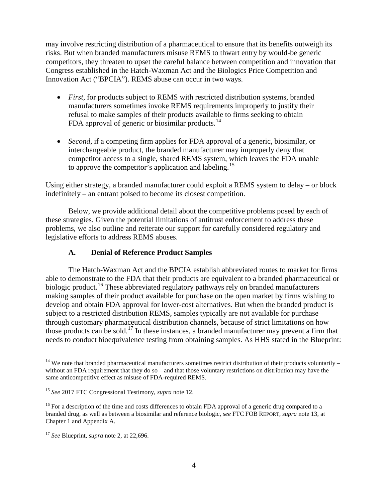may involve restricting distribution of a pharmaceutical to ensure that its benefits outweigh its risks. But when branded manufacturers misuse REMS to thwart entry by would-be generic competitors, they threaten to upset the careful balance between competition and innovation that Congress established in the Hatch-Waxman Act and the Biologics Price Competition and Innovation Act ("BPCIA"). REMS abuse can occur in two ways.

- *First*, for products subject to REMS with restricted distribution systems, branded manufacturers sometimes invoke REMS requirements improperly to justify their refusal to make samples of their products available to firms seeking to obtain FDA approval of generic or biosimilar products.<sup>[14](#page-3-0)</sup>
- *Second*, if a competing firm applies for FDA approval of a generic, biosimilar, or interchangeable product, the branded manufacturer may improperly deny that competitor access to a single, shared REMS system, which leaves the FDA unable to approve the competitor's application and labeling.<sup>[15](#page-3-1)</sup>

Using either strategy, a branded manufacturer could exploit a REMS system to delay – or block indefinitely – an entrant poised to become its closest competition.

Below, we provide additional detail about the competitive problems posed by each of these strategies. Given the potential limitations of antitrust enforcement to address these problems, we also outline and reiterate our support for carefully considered regulatory and legislative efforts to address REMS abuses.

## **A. Denial of Reference Product Samples**

The Hatch-Waxman Act and the BPCIA establish abbreviated routes to market for firms able to demonstrate to the FDA that their products are equivalent to a branded pharmaceutical or biologic product.<sup>[16](#page-3-2)</sup> These abbreviated regulatory pathways rely on branded manufacturers making samples of their product available for purchase on the open market by firms wishing to develop and obtain FDA approval for lower-cost alternatives. But when the branded product is subject to a restricted distribution REMS, samples typically are not available for purchase through customary pharmaceutical distribution channels, because of strict limitations on how those products can be sold.[17](#page-3-3) In these instances, a branded manufacturer may prevent a firm that needs to conduct bioequivalence testing from obtaining samples. As HHS stated in the Blueprint:

<span id="page-3-0"></span> $14$  We note that branded pharmaceutical manufacturers sometimes restrict distribution of their products voluntarily – without an FDA requirement that they do so – and that those voluntary restrictions on distribution may have the same anticompetitive effect as misuse of FDA-required REMS.

<span id="page-3-1"></span><sup>15</sup> *See* 2017 FTC Congressional Testimony, *supra* note [12.](#page-2-4)

<span id="page-3-2"></span><sup>&</sup>lt;sup>16</sup> For a description of the time and costs differences to obtain FDA approval of a generic drug compared to a branded drug, as well as between a biosimilar and reference biologic, *see* FTC FOB REPORT, *supra* not[e 13,](#page-2-5) at Chapter 1 and Appendix A.

<span id="page-3-3"></span><sup>17</sup> *See* Blueprint, *supra* note [2,](#page-0-4) at 22,696.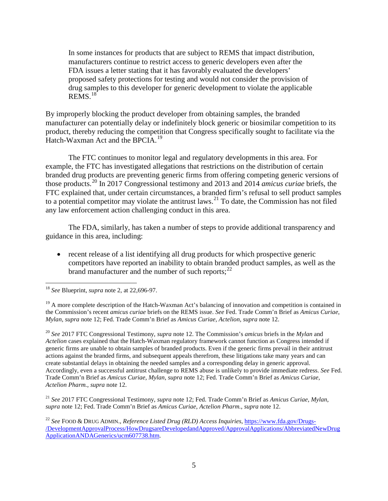In some instances for products that are subject to REMS that impact distribution, manufacturers continue to restrict access to generic developers even after the FDA issues a letter stating that it has favorably evaluated the developers' proposed safety protections for testing and would not consider the provision of drug samples to this developer for generic development to violate the applicable  $REMS.<sup>18</sup>$  $REMS.<sup>18</sup>$  $REMS.<sup>18</sup>$ 

By improperly blocking the product developer from obtaining samples, the branded manufacturer can potentially delay or indefinitely block generic or biosimilar competition to its product, thereby reducing the competition that Congress specifically sought to facilitate via the Hatch-Waxman Act and the BPCIA.<sup>[19](#page-4-1)</sup>

The FTC continues to monitor legal and regulatory developments in this area. For example, the FTC has investigated allegations that restrictions on the distribution of certain branded drug products are preventing generic firms from offering competing generic versions of those products.[20](#page-4-2) In 2017 Congressional testimony and 2013 and 2014 *amicus curiae* briefs, the FTC explained that, under certain circumstances, a branded firm's refusal to sell product samples to a potential competitor may violate the antitrust laws.<sup>[21](#page-4-3)</sup> To date, the Commission has not filed any law enforcement action challenging conduct in this area.

The FDA, similarly, has taken a number of steps to provide additional transparency and guidance in this area, including:

• recent release of a list identifying all drug products for which prospective generic competitors have reported an inability to obtain branded product samples, as well as the brand manufacturer and the number of such reports;<sup>[22](#page-4-4)</sup>

<span id="page-4-1"></span><sup>19</sup> A more complete description of the Hatch-Waxman Act's balancing of innovation and competition is contained in the Commission's recent *amicus curiae* briefs on the REMS issue. *See* Fed. Trade Comm'n Brief as *Amicus Curiae*, *Mylan*, *supra* not[e 12;](#page-2-4) Fed. Trade Comm'n Brief as *Amicus Curiae*, *Actelion, supra* note [12.](#page-2-4)

<span id="page-4-2"></span><sup>20</sup> *See* 2017 FTC Congressional Testimony, *supra* note [12.](#page-2-4) The Commission's *amicus* briefs in the *Mylan* and *Actelion* cases explained that the Hatch-Waxman regulatory framework cannot function as Congress intended if generic firms are unable to obtain samples of branded products. Even if the generic firms prevail in their antitrust actions against the branded firms, and subsequent appeals therefrom, these litigations take many years and can create substantial delays in obtaining the needed samples and a corresponding delay in generic approval. Accordingly, even a successful antitrust challenge to REMS abuse is unlikely to provide immediate redress. *See* Fed. Trade Comm'n Brief as *Amicus Curiae*, *Mylan*, *supra* note 12; Fed. Trade Comm'n Brief as *Amicus Curiae*, *Actelion Pharm.*, *supra* note 12.

<span id="page-4-3"></span><sup>21</sup> *See* 2017 FTC Congressional Testimony, *supra* note 12; Fed. Trade Comm'n Brief as *Amicus Curiae*, *Mylan*, *supra* note 12; Fed. Trade Comm'n Brief as *Amicus Curiae*, *Actelion Pharm.*, *supra* note 12.

<span id="page-4-4"></span><sup>22</sup> *See* FOOD & DRUG ADMIN., *Reference Listed Drug (RLD) Access Inquiries*, [https://www.fda.gov/Drugs-](https://www.fda.gov/Drugs/DevelopmentApprovalProcess/HowDrugsareDevelopedandApproved/ApprovalApplications/AbbreviatedNewDrugApplicationANDAGenerics/ucm607738.htm) [/DevelopmentApprovalProcess/HowDrugsareDevelopedandApproved/ApprovalApplications/AbbreviatedNewDrug](https://www.fda.gov/Drugs/DevelopmentApprovalProcess/HowDrugsareDevelopedandApproved/ApprovalApplications/AbbreviatedNewDrugApplicationANDAGenerics/ucm607738.htm) [ApplicationANDAGenerics/ucm607738.htm.](https://www.fda.gov/Drugs/DevelopmentApprovalProcess/HowDrugsareDevelopedandApproved/ApprovalApplications/AbbreviatedNewDrugApplicationANDAGenerics/ucm607738.htm)

<span id="page-4-0"></span> <sup>18</sup> *See* Blueprint, *supra* note 2, at 22,696-97.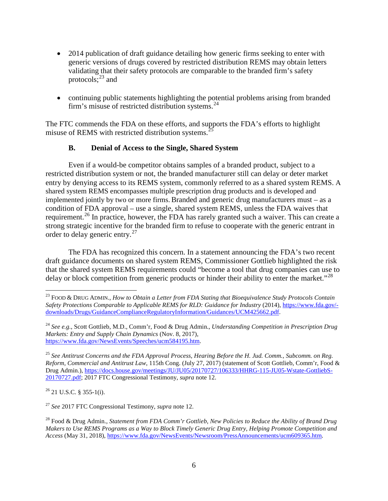- 2014 publication of draft guidance detailing how generic firms seeking to enter with generic versions of drugs covered by restricted distribution REMS may obtain letters validating that their safety protocols are comparable to the branded firm's safety protocols; $^{23}$  $^{23}$  $^{23}$  and
- continuing public statements highlighting the potential problems arising from branded firm's misuse of restricted distribution systems. $^{24}$  $^{24}$  $^{24}$

The FTC commends the FDA on these efforts, and supports the FDA's efforts to highlight misuse of REMS with restricted distribution systems.<sup>2</sup>

# **B. Denial of Access to the Single, Shared System**

Even if a would-be competitor obtains samples of a branded product, subject to a restricted distribution system or not, the branded manufacturer still can delay or deter market entry by denying access to its REMS system, commonly referred to as a shared system REMS. A shared system REMS encompasses multiple prescription drug products and is developed and implemented jointly by two or more firms. Branded and generic drug manufacturers must  $-$  as a condition of FDA approval – use a single, shared system REMS, unless the FDA waives that requirement.<sup>[26](#page-5-3)</sup> In practice, however, the FDA has rarely granted such a waiver. This can create a strong strategic incentive for the branded firm to refuse to cooperate with the generic entrant in order to delay generic entry.[27](#page-5-4)

The FDA has recognized this concern. In a statement announcing the FDA's two recent draft guidance documents on shared system REMS, Commissioner Gottlieb highlighted the risk that the shared system REMS requirements could "become a tool that drug companies can use to delay or block competition from generic products or hinder their ability to enter the market."<sup>[28](#page-5-5)</sup>

<span id="page-5-3"></span> $26$  21 U.S.C. § 355-1(i).

<span id="page-5-4"></span><sup>27</sup> *See* 2017 FTC Congressional Testimony, *supra* note [12.](#page-2-4)

<span id="page-5-0"></span> <sup>23</sup> FOOD & DRUG ADMIN., *How to Obtain a Letter from FDA Stating that Bioequivalence Study Protocols Contain Safety Protections Comparable to Applicable REMS for RLD: Guidance for Industry* (2014), [https://www.fda.gov/](https://www.fda.gov/downloads/Drugs/GuidanceComplianceRegulatoryInformation/Guidances/UCM425662.pdf) [downloads/Drugs/GuidanceComplianceRegulatoryInformation/Guidances/UCM425662.pdf.](https://www.fda.gov/downloads/Drugs/GuidanceComplianceRegulatoryInformation/Guidances/UCM425662.pdf)

<span id="page-5-1"></span><sup>24</sup> *See e.g.,* Scott Gottlieb, M.D., Comm'r, Food & Drug Admin., *Understanding Competition in Prescription Drug Markets: Entry and Supply Chain Dynamics* (Nov. 8, 2017), [https://www.fda.gov/NewsEvents/Speeches/ucm584195.htm.](https://www.fda.gov/NewsEvents/Speeches/ucm584195.htm)

<span id="page-5-2"></span><sup>25</sup> *See Antitrust Concerns and the FDA Approval Process, Hearing Before the H. Jud. Comm., Subcomm. on Reg. Reform, Commercial and Antitrust Law*, 115th Cong. (July 27, 2017) (statement of Scott Gottlieb, Comm'r, Food & Drug Admin.)[, https://docs.house.gov/meetings/JU/JU05/20170727/106333/HHRG-115-JU05-Wstate-GottliebS-](https://docs.house.gov/meetings/JU/JU05/20170727/106333/HHRG-115-JU05-Wstate-GottliebS-20170727.pdf)[20170727.pdf;](https://docs.house.gov/meetings/JU/JU05/20170727/106333/HHRG-115-JU05-Wstate-GottliebS-20170727.pdf) 2017 FTC Congressional Testimony, *supra* note [12.](#page-2-4)

<span id="page-5-5"></span><sup>28</sup> Food & Drug Admin., *Statement from FDA Comm'r Gottlieb, New Policies to Reduce the Ability of Brand Drug Makers to Use REMS Programs as a Way to Block Timely Generic Drug Entry, Helping Promote Competition and Access* (May 31, 2018), [https://www.fda.gov/NewsEvents/Newsroom/PressAnnouncements/ucm609365.htm.](https://www.fda.gov/NewsEvents/Newsroom/PressAnnouncements/ucm609365.htm)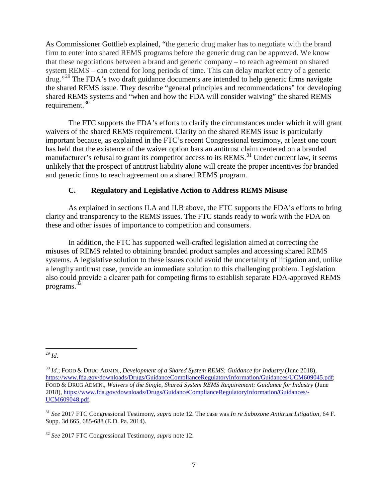As Commissioner Gottlieb explained, "the generic drug maker has to negotiate with the brand firm to enter into shared REMS programs before the generic drug can be approved. We know that these negotiations between a brand and generic company – to reach agreement on shared system REMS – can extend for long periods of time. This can delay market entry of a generic drug."<sup>[29](#page-6-0)</sup> The FDA's two draft guidance documents are intended to help generic firms navigate the shared REMS issue. They describe "general principles and recommendations" for developing shared REMS systems and "when and how the FDA will consider waiving" the shared REMS requirement.<sup>[30](#page-6-1)</sup>

The FTC supports the FDA's efforts to clarify the circumstances under which it will grant waivers of the shared REMS requirement. Clarity on the shared REMS issue is particularly important because, as explained in the FTC's recent Congressional testimony, at least one court has held that the existence of the waiver option bars an antitrust claim centered on a branded manufacturer's refusal to grant its competitor access to its REMS.<sup>[31](#page-6-2)</sup> Under current law, it seems unlikely that the prospect of antitrust liability alone will create the proper incentives for branded and generic firms to reach agreement on a shared REMS program.

### **C. Regulatory and Legislative Action to Address REMS Misuse**

As explained in sections II.A and II.B above, the FTC supports the FDA's efforts to bring clarity and transparency to the REMS issues. The FTC stands ready to work with the FDA on these and other issues of importance to competition and consumers.

In addition, the FTC has supported well-crafted legislation aimed at correcting the misuses of REMS related to obtaining branded product samples and accessing shared REMS systems. A legislative solution to these issues could avoid the uncertainty of litigation and, unlike a lengthy antitrust case, provide an immediate solution to this challenging problem. Legislation also could provide a clearer path for competing firms to establish separate FDA-approved REMS programs.[32](#page-6-3)

<span id="page-6-0"></span> <sup>29</sup> *Id*.

<span id="page-6-1"></span><sup>30</sup> *Id*.; FOOD & DRUG ADMIN., *Development of a Shared System REMS: Guidance for Industry* (June 2018), [https://www.fda.gov/downloads/Drugs/GuidanceComplianceRegulatoryInformation/Guidances/UCM609045.pdf;](https://www.fda.gov/downloads/Drugs/GuidanceComplianceRegulatoryInformation/Guidances/UCM609045.pdf) FOOD & DRUG ADMIN., *Waivers of the Single, Shared System REMS Requirement: Guidance for Industry* (June 2018), [https://www.fda.gov/downloads/Drugs/GuidanceComplianceRegulatoryInformation/Guidances/-](https://www.fda.gov/downloads/Drugs/GuidanceComplianceRegulatoryInformation/Guidances/UCM609048.pdf) [UCM609048.pdf.](https://www.fda.gov/downloads/Drugs/GuidanceComplianceRegulatoryInformation/Guidances/UCM609048.pdf)

<span id="page-6-2"></span><sup>31</sup> *See* 2017 FTC Congressional Testimony, *supra* note [12.](#page-2-4) The case was *In re Suboxone Antitrust Litigation*, 64 F. Supp. 3d 665, 685-688 (E.D. Pa. 2014).

<span id="page-6-3"></span><sup>32</sup> *See* 2017 FTC Congressional Testimony, *supra* note [12.](#page-2-4)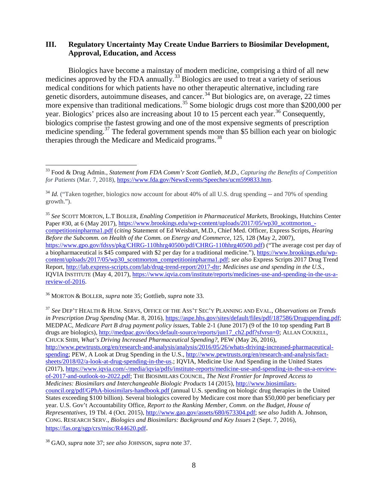### **III. Regulatory Uncertainty May Create Undue Barriers to Biosimilar Development, Approval, Education, and Access**

<span id="page-7-1"></span><span id="page-7-0"></span>Biologics have become a mainstay of modern medicine, comprising a third of all new medicines approved by the FDA annually.<sup>[33](#page-7-3)</sup> Biologics are used to treat a variety of serious medical conditions for which patients have no other therapeutic alternative, including rare genetic disorders, autoimmune diseases, and cancer.<sup>[34](#page-7-4)</sup> But biologics are, on average, 22 times more expensive than traditional medications.<sup>[35](#page-7-5)</sup> Some biologic drugs cost more than \$200,000 per year. Biologics' prices also are increasing about 10 to 15 percent each year.<sup>[36](#page-7-6)</sup> Consequently, biologics comprise the fastest growing and one of the most expensive segments of prescription medicine spending.<sup>[37](#page-7-7)</sup> The federal government spends more than \$5 billion each year on biologic therapies through the Medicare and Medicaid programs.<sup>[38](#page-7-8)</sup>

<span id="page-7-6"></span><sup>36</sup> MORTON & BOLLER, *supra* not[e 35;](#page-7-0) Gottlieb, *supra* not[e 33.](#page-7-1)

<span id="page-7-3"></span><span id="page-7-2"></span> <sup>33</sup> Food & Drug Admin., *Statement from FDA Comm'r Scott Gottlieb, M.D., Capturing the Benefits of Competition for Patients* (Mar. 7, 2018), [https://www.fda.gov/NewsEvents/Speeches/ucm599833.htm.](https://www.fda.gov/NewsEvents/Speeches/ucm599833.htm)

<span id="page-7-4"></span><sup>&</sup>lt;sup>34</sup> *Id.* ("Taken together, biologics now account for about 40% of all U.S. drug spending -- and 70% of spending growth.").

<span id="page-7-5"></span><sup>35</sup> *See* SCOTT MORTON, L.T BOLLER, *Enabling Competition in Pharmaceutical Markets,* Brookings, Hutchins Center Paper #30, at 6 (May 2017), [https://www.brookings.edu/wp-content/uploads/2017/05/wp30\\_scottmorton\\_](https://www.brookings.edu/wp-content/uploads/2017/05/wp30_scottmorton_competitioninpharma1.pdf) [competitioninpharma1.pdf](https://www.brookings.edu/wp-content/uploads/2017/05/wp30_scottmorton_competitioninpharma1.pdf) (*citing* Statement of Ed Weisbart, M.D., Chief Med. Officer, Express Scripts, *Hearing Before the Subcomm. on Health of the Comm. on Energy and Commerce*, 125, 128 (May 2, 2007), [https://www.gpo.gov/fdsys/pkg/CHRG-110hhrg40500/pdf/CHRG-110hhrg40500.pdf\)](https://www.gpo.gov/fdsys/pkg/CHRG-110hhrg40500/pdf/CHRG-110hhrg40500.pdf) ("The average cost per day of a biopharmaceutical is \$45 compared with \$2 per day for a traditional medicine."), [https://www.brookings.edu/wp](https://www.brookings.edu/wp-content/uploads/2017/05/wp30_scottmorton_competitioninpharma1.pdf)[content/uploads/2017/05/wp30\\_scottmorton\\_competitioninpharma1.pdf;](https://www.brookings.edu/wp-content/uploads/2017/05/wp30_scottmorton_competitioninpharma1.pdf) *see also* Express Scripts 2017 Drug Trend Report, [http://lab.express-scripts.com/lab/drug-trend-report/2017-dtr;](http://lab.express-scripts.com/lab/drug-trend-report/2017-dtr) *Medicines use and spending in the U.S.*, IQVIA INSTITUTE (May 4, 2017), [https://www.iqvia.com/institute/reports/medicines-use-and-spending-in-the-us-a](https://www.iqvia.com/institute/reports/medicines-use-and-spending-in-the-us-a-review-of-2016)[review-of-2016.](https://www.iqvia.com/institute/reports/medicines-use-and-spending-in-the-us-a-review-of-2016)

<span id="page-7-7"></span><sup>37</sup> *See* DEP'T HEALTH & HUM. SERVS, OFFICE OF THE ASS'T SEC'Y PLANNING AND EVAL., *Observations on Trends in Prescription Drug Spending* (Mar. 8, 2016), [https://aspe.hhs.gov/sites/default/files/pdf/187586/Drugspending.pdf;](https://aspe.hhs.gov/sites/default/files/pdf/187586/Drugspending.pdf) MEDPAC, *Medicare Part B drug payment policy issues*, Table 2-1 (June 2017) (9 of the 10 top spending Part B drugs are biologics), [http://medpac.gov/docs/default-source/reports/jun17\\_ch2.pdf?sfvrsn=0;](http://medpac.gov/docs/default-source/reports/jun17_ch2.pdf?sfvrsn=0) ALLAN COUKELL, CHUCK SHIH, *What's Driving Increased Pharmaceutical Spending?,* PEW (May 26, 2016), [http://www.pewtrusts.org/en/research-and-analysis/analysis/2016/05/26/whats-driving-increased-pharmaceutical](http://www.pewtrusts.org/en/research-and-analysis/analysis/2016/05/26/whats-driving-increased-pharmaceutical-spending)[spending;](http://www.pewtrusts.org/en/research-and-analysis/analysis/2016/05/26/whats-driving-increased-pharmaceutical-spending) PEW, A Look at Drug Spending in the U.S., [http://www.pewtrusts.org/en/research-and-analysis/fact](http://www.pewtrusts.org/en/research-and-analysis/fact-sheets/2018/02/a-look-at-drug-spending-in-the-us)[sheets/2018/02/a-look-at-drug-spending-in-the-us.](http://www.pewtrusts.org/en/research-and-analysis/fact-sheets/2018/02/a-look-at-drug-spending-in-the-us); IQVIA, Medicine Use And Spending in the United States (2017)[, https://www.iqvia.com/-/media/iqvia/pdfs/institute-reports/medicine-use-and-spending-in-the-us-a-review](https://www.iqvia.com/-/media/iqvia/pdfs/institute-reports/medicine-use-and-spending-in-the-us-a-review-of-2017-and-outlook-to-2022.pdf)[of-2017-and-outlook-to-2022.pdf;](https://www.iqvia.com/-/media/iqvia/pdfs/institute-reports/medicine-use-and-spending-in-the-us-a-review-of-2017-and-outlook-to-2022.pdf) THE BIOSIMILARS COUNCIL, *The Next Frontier for Improved Access to Medicines: Biosimilars and Interchangeable Biologic Products* 14 (2015), [http://www.biosimilars](http://www.biosimilarscouncil.org/pdf/GPhA-biosimilars-)[council.org/pdf/GPhA-biosimilars-](http://www.biosimilarscouncil.org/pdf/GPhA-biosimilars-)[handbook.pdf \(](http://www.biosimilarscouncil.org/pdf/GPhA-biosimilars-handbook.pdf)annual U.S. spending on biologic drug therapies in the United States exceeding \$100 billion). Several biologics covered by Medicare cost more than \$50,000 per beneficiary per year. U.S. Gov't Accountability Office, *Report to the Ranking Member, Comm. on the Budget, House of Representatives,* 19 Tbl. 4 (Oct. 2015), [http://www.gao.gov/assets/680/673304.pdf;](http://www.gao.gov/assets/680/673304.pdf) s*ee also* Judith A. Johnson, CONG. RESEARCH SERV., *Biologics and Biosimilars: Background and Key Issues* 2 (Sept. 7, 2016), [https://fas.org/sgp/crs/misc/R44620.pdf.](https://fas.org/sgp/crs/misc/R44620.pdf)

<span id="page-7-8"></span><sup>38</sup> GAO, *supra* note [37;](#page-7-2) *see also* JOHNSON, *supra* not[e 37.](#page-7-2)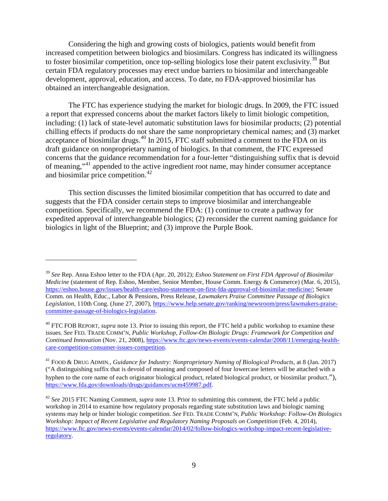<span id="page-8-4"></span>Considering the high and growing costs of biologics, patients would benefit from increased competition between biologics and biosimilars. Congress has indicated its willingness to foster biosimilar competition, once top-selling biologics lose their patent exclusivity.<sup>[39](#page-8-0)</sup> But certain FDA regulatory processes may erect undue barriers to biosimilar and interchangeable development, approval, education, and access. To date, no FDA-approved biosimilar has obtained an interchangeable designation.

The FTC has experience studying the market for biologic drugs. In 2009, the FTC issued a report that expressed concerns about the market factors likely to limit biologic competition, including: (1) lack of state-level automatic substitution laws for biosimilar products; (2) potential chilling effects if products do not share the same nonproprietary chemical names; and (3) market acceptance of biosimilar drugs.<sup>[40](#page-8-1)</sup> In 2015, FTC staff submitted a comment to the FDA on its draft guidance on nonproprietary naming of biologics. In that comment, the FTC expressed concerns that the guidance recommendation for a four-letter "distinguishing suffix that is devoid of meaning,"<sup>[41](#page-8-2)</sup> appended to the active ingredient root name, may hinder consumer acceptance and biosimilar price competition. $42$ 

This section discusses the limited biosimilar competition that has occurred to date and suggests that the FDA consider certain steps to improve biosimilar and interchangeable competition. Specifically, we recommend the FDA: (1) continue to create a pathway for expedited approval of interchangeable biologics; (2) reconsider the current naming guidance for biologics in light of the Blueprint; and (3) improve the Purple Book.

 $\overline{a}$ 

<span id="page-8-0"></span><sup>39</sup> *See* Rep. Anna Eshoo letter to the FDA (Apr. 20, 2012); *Eshoo Statement on First FDA Approval of Biosimilar Medicine* (statement of Rep. Eshoo, Member, Senior Member, House Comm. Energy & Commerce) (Mar. 6, 2015), [https://eshoo.house.gov/issues/health-care/eshoo-statement-on-first-fda-approval-of-biosimilar-medicine/;](https://eshoo.house.gov/issues/health-care/eshoo-statement-on-first-fda-approval-of-biosimilar-medicine/) Senate Comm. on Health, Educ., Labor & Pensions, Press Release, *Lawmakers Praise Committee Passage of Biologics Legislation*, 110th Cong. (June 27, 2007)[, https://www.help.senate.gov/ranking/newsroom/press/lawmakers-praise](https://www.help.senate.gov/ranking/newsroom/press/lawmakers-praise-committee-passage-of-biologics-legislation)[committee-passage-of-biologics-legislation.](https://www.help.senate.gov/ranking/newsroom/press/lawmakers-praise-committee-passage-of-biologics-legislation)

<span id="page-8-1"></span><sup>&</sup>lt;sup>40</sup> FTC FOB REPORT, *supra* note [13.](#page-2-5) Prior to issuing this report, the FTC held a public workshop to examine these issues. *See* FED. TRADE COMM'N, *Public Workshop, Follow-On Biologic Drugs: Framework for Competition and Continued Innovation* (Nov. 21, 2008), [https://www.ftc.gov/news-events/events-calendar/2008/11/emerging-health](https://www.ftc.gov/news-events/events-calendar/2008/11/emerging-health-care-competition-consumer-issues-competition)[care-competition-consumer-issues-competition.](https://www.ftc.gov/news-events/events-calendar/2008/11/emerging-health-care-competition-consumer-issues-competition)

<span id="page-8-2"></span><sup>41</sup> FOOD & DRUG ADMIN., *Guidance for Industry: Nonproprietary Naming of Biological Products*, at 8 (Jan. 2017) ("A distinguishing suffix that is devoid of meaning and composed of four lowercase letters will be attached with a hyphen to the core name of each originator biological product, related biological product, or biosimilar product."), [https://www.fda.gov/downloads/drugs/guidances/ucm459987.pdf.](https://www.fda.gov/downloads/drugs/guidances/ucm459987.pdf)

<span id="page-8-3"></span><sup>42</sup> *See* 2015 FTC Naming Comment, *supra* note 13. Prior to submitting this comment, the FTC held a public workshop in 2014 to examine how regulatory proposals regarding state substitution laws and biologic naming systems may help or hinder biologic competition. *See* FED. TRADE COMM'N, *Public Workshop: Follow-On Biologics Workshop: Impact of Recent Legislative and Regulatory Naming Proposals on Competition* (Feb. 4, 2014), [https://www.ftc.gov/news-events/events-calendar/2014/02/follow-biologics-workshop-impact-recent-legislative](https://www.ftc.gov/news-events/events-calendar/2014/02/follow-biologics-workshop-impact-recent-legislative-regulatory)[regulatory.](https://www.ftc.gov/news-events/events-calendar/2014/02/follow-biologics-workshop-impact-recent-legislative-regulatory)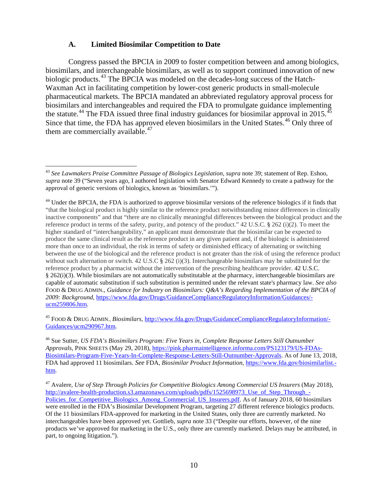#### **A. Limited Biosimilar Competition to Date**

Congress passed the BPCIA in 2009 to foster competition between and among biologics, biosimilars, and interchangeable biosimilars, as well as to support continued innovation of new biologic products.<sup>[43](#page-9-0)</sup> The BPCIA was modeled on the decades-long success of the Hatch-Waxman Act in facilitating competition by lower-cost generic products in small-molecule pharmaceutical markets. The BPCIA mandated an abbreviated regulatory approval process for biosimilars and interchangeables and required the FDA to promulgate guidance implementing the statute.<sup>[44](#page-9-1)</sup> The FDA issued three final industry guidances for biosimilar approval in 2015.<sup>[45](#page-9-2)</sup> Since that time, the FDA has approved eleven biosimilars in the United States.<sup>[46](#page-9-3)</sup> Only three of them are commercially available.<sup>[47](#page-9-4)</sup>

<span id="page-9-2"></span><sup>45</sup> FOOD & DRUG ADMIN., *Biosimilars*, [http://www.fda.gov/Drugs/GuidanceComplianceRegulatoryInformation/-](http://www.fda.gov/Drugs/GuidanceComplianceRegulatoryInformation/Guidances/ucm290967.htm) [Guidances/ucm290967.htm.](http://www.fda.gov/Drugs/GuidanceComplianceRegulatoryInformation/Guidances/ucm290967.htm)

<span id="page-9-3"></span><sup>46</sup> Sue Sutter, *US FDA's Biosimilars Program: Five Years in, Complete Response Letters Still Outnumber Approvals*, PINK SHEETS (May 29, 2018), [https://pink.pharmaintelligence.informa.com/PS123179/US-FDAs-](https://pink.pharmaintelligence.informa.com/PS123179/US-FDAs-Biosimilars-Program-Five-Years-In-Complete-Response-Letters-Still-Outnumber-Approvals)[Biosimilars-Program-Five-Years-In-Complete-Response-Letters-Still-Outnumber-Approvals.](https://pink.pharmaintelligence.informa.com/PS123179/US-FDAs-Biosimilars-Program-Five-Years-In-Complete-Response-Letters-Still-Outnumber-Approvals) As of June 13, 2018, FDA had approved 11 biosimilars. *See* FDA, *Biosimilar Product Information*[, https://www.fda.gov/biosimilarlist.](https://www.fda.gov/biosimilarlist.htm) [htm.](https://www.fda.gov/biosimilarlist.htm)

<span id="page-9-5"></span><span id="page-9-0"></span> <sup>43</sup> *See Lawmakers Praise Committee Passage of Biologics Legislation*, *supra* note [39;](#page-8-4) statement of Rep. Eshoo, *supra* note [39](#page-8-4) ("Seven years ago, I authored legislation with Senator Edward Kennedy to create a pathway for the approval of generic versions of biologics, known as 'biosimilars.'").

<span id="page-9-1"></span><sup>&</sup>lt;sup>44</sup> Under the BPCIA, the FDA is authorized to approve biosimilar versions of the reference biologics if it finds that "that the biological product is highly similar to the reference product notwithstanding minor differences in clinically inactive components" and that "there are no clinically meaningful differences between the biological product and the reference product in terms of the safety, purity, and potency of the product." 42 U.S.C. § 262 (i)(2). To meet the higher standard of "interchangeability," an applicant must demonstrate that the biosimilar can be expected to produce the same clinical result as the reference product in any given patient and, if the biologic is administered more than once to an individual, the risk in terms of safety or diminished efficacy of alternating or switching between the use of the biological and the reference product is not greater than the risk of using the reference product without such alternation or switch. 42 U.S.C § 262 (i)(3). Interchangeable biosimilars may be substituted for the reference product by a pharmacist without the intervention of the prescribing healthcare provider. 42 U.S.C. § 262(i)(3). While biosimilars are not automatically substitutable at the pharmacy, interchangeable biosimilars are capable of automatic substitution if such substitution is permitted under the relevant state's pharmacy law. *See also* FOOD & DRUG ADMIN., *Guidance for Industry on Biosimilars: Q&A's Regarding Implementation of the BPCIA of 2009: Background*, [https://www.fda.gov/Drugs/GuidanceComplianceRegulatoryInformation/Guidances/](https://www.fda.gov/Drugs/GuidanceComplianceRegulatoryInformation/Guidances/ucm259806.htm) [ucm259806.htm.](https://www.fda.gov/Drugs/GuidanceComplianceRegulatoryInformation/Guidances/ucm259806.htm)

<span id="page-9-4"></span><sup>47</sup> Avalere, *Use of Step Through Policies for Competitive Biologics Among Commercial US Insurers* (May 2018), http://avalere-health-production.s3.amazonaws.com/uploads/pdfs/1525698973 Use of Step Through -Policies for Competitive Biologics Among Commercial US Insurers.pdf. As of January 2018, 60 biosimilars were enrolled in the FDA's Biosimilar Development Program, targeting 27 different reference biologics products. Of the 11 biosimilars FDA-approved for marketing in the United States, only three are currently marketed. No interchangeables have been approved yet. Gottlieb, *supra* note [33](#page-7-1) ("Despite our efforts, however, of the nine products we've approved for marketing in the U.S., only three are currently marketed. Delays may be attributed, in part, to ongoing litigation.").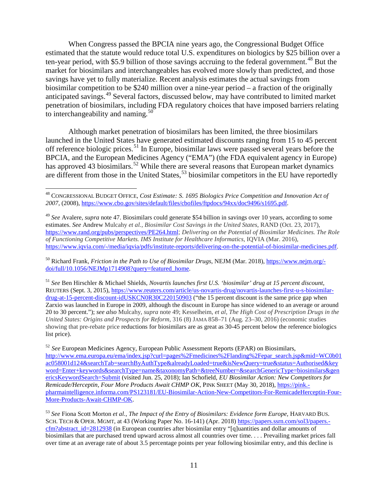When Congress passed the BPCIA nine years ago, the Congressional Budget Office estimated that the statute would reduce total U.S. expenditures on biologics by \$25 billion over a ten-year period, with \$5.9 billion of those savings accruing to the federal government.<sup>[48](#page-10-1)</sup> But the market for biosimilars and interchangeables has evolved more slowly than predicted, and those savings have yet to fully materialize. Recent analysis estimates the actual savings from biosimilar competition to be \$240 million over a nine-year period – a fraction of the originally anticipated savings. [49](#page-10-2) Several factors, discussed below, may have contributed to limited market penetration of biosimilars, including FDA regulatory choices that have imposed barriers relating to interchangeability and naming.<sup>[50](#page-10-3)</sup>

<span id="page-10-8"></span><span id="page-10-0"></span>Although market penetration of biosimilars has been limited, the three biosimilars launched in the United States have generated estimated discounts ranging from 15 to 45 percent off reference biologic prices.[51](#page-10-4) In Europe, biosimilar laws were passed several years before the BPCIA, and the European Medicines Agency ("EMA") (the FDA equivalent agency in Europe) has approved 43 biosimilars.<sup>[52](#page-10-5)</sup> While there are several reasons that European market dynamics are different from those in the United States,<sup>[53](#page-10-6)</sup> biosimilar competitors in the EU have reportedly

<span id="page-10-3"></span><sup>50</sup> Richard Frank, *Friction in the Path to Use of Biosimilar Drugs*, NEJM (Mar. 2018), [https://www.nejm.org/](https://www.nejm.org/doi/full/10.1056/NEJMp1714908?query=featured_home) [doi/full/10.1056/NEJMp1714908?query=featured\\_home.](https://www.nejm.org/doi/full/10.1056/NEJMp1714908?query=featured_home)

<span id="page-10-4"></span><sup>51</sup> *See* Ben Hirschler & Michael Shields, *Novartis launches first U.S. 'biosimilar' drug at 15 percent discount*, REUTERS (Sept. 3, 2015), [https://www.reuters.com/article/us-novartis-drug/novartis-launches-first-u-s-biosimilar](https://www.reuters.com/article/us-novartis-drug/novartis-launches-first-u-s-biosimilar-drug-at-15-percent-discount-idUSKCN0R30C220150903)[drug-at-15-percent-discount-idUSKCN0R30C220150903](https://www.reuters.com/article/us-novartis-drug/novartis-launches-first-u-s-biosimilar-drug-at-15-percent-discount-idUSKCN0R30C220150903) ("the 15 percent discount is the same price gap when Zarxio was launched in Europe in 2009, although the discount in Europe has since widened to an average or around 20 to 30 percent."); *see also* Mulcahy, *supra* note [49;](#page-10-0) Kesselheim, *et al*, *The High Cost of Prescription Drugs in the United States: Origins and Prospects for Reform*, 316 (8) JAMA 858–71 (Aug. 23–30, 2016) (economic studies showing that pre-rebate price reductions for biosimilars are as great as 30-45 percent below the reference biologics list price).

<span id="page-10-5"></span><sup>52</sup> *See* European Medicines Agency, European Public Assessment Reports (EPAR) on Biosimilars, [http://www.ema.europa.eu/ema/index.jsp?curl=pages%2Fmedicines%2Flanding%2Fepar\\_search.jsp&mid=WC0b01](http://www.ema.europa.eu/ema/index.jsp?curl=pages%2Fmedicines%2Flanding%2Fepar_search.jsp&mid=WC0b01ac058001d124&searchTab=searchByAuthType&alreadyLoaded=true&isNewQuery=true&status=Authorised&keyword=Enter+keywords&searchType=name&taxonomyPath=&treeNumber=&searchGenericType=biosimilars&genericsKeywordSearch=Submit) [ac058001d124&searchTab=searchByAuthType&alreadyLoaded=true&isNewQuery=true&status=Authorised&key](http://www.ema.europa.eu/ema/index.jsp?curl=pages%2Fmedicines%2Flanding%2Fepar_search.jsp&mid=WC0b01ac058001d124&searchTab=searchByAuthType&alreadyLoaded=true&isNewQuery=true&status=Authorised&keyword=Enter+keywords&searchType=name&taxonomyPath=&treeNumber=&searchGenericType=biosimilars&genericsKeywordSearch=Submit) [word=Enter+keywords&searchType=name&taxonomyPath=&treeNumber=&searchGenericType=biosimilars&gen](http://www.ema.europa.eu/ema/index.jsp?curl=pages%2Fmedicines%2Flanding%2Fepar_search.jsp&mid=WC0b01ac058001d124&searchTab=searchByAuthType&alreadyLoaded=true&isNewQuery=true&status=Authorised&keyword=Enter+keywords&searchType=name&taxonomyPath=&treeNumber=&searchGenericType=biosimilars&genericsKeywordSearch=Submit) [ericsKeywordSearch=Submit](http://www.ema.europa.eu/ema/index.jsp?curl=pages%2Fmedicines%2Flanding%2Fepar_search.jsp&mid=WC0b01ac058001d124&searchTab=searchByAuthType&alreadyLoaded=true&isNewQuery=true&status=Authorised&keyword=Enter+keywords&searchType=name&taxonomyPath=&treeNumber=&searchGenericType=biosimilars&genericsKeywordSearch=Submit) (visited Jun. 25, 2018); Ian Schofield, *EU Biosimilar Action: New Competitors for Remicade/Herceptin, Four More Products Await CHMP OK*, PINK SHEET (May 30, 2018), [https://pink.](https://pink.pharmaintelligence.informa.com/PS123181/EU-Biosimilar-Action-New-Competitors-For-RemicadeHerceptin-Four-More-Products-Await-CHMP-OK) [pharmaintelligence.informa.com/PS123181/EU-Biosimilar-Action-New-Competitors-For-RemicadeHerceptin-Four-](https://pink.pharmaintelligence.informa.com/PS123181/EU-Biosimilar-Action-New-Competitors-For-RemicadeHerceptin-Four-More-Products-Await-CHMP-OK)[More-Products-Await-CHMP-OK.](https://pink.pharmaintelligence.informa.com/PS123181/EU-Biosimilar-Action-New-Competitors-For-RemicadeHerceptin-Four-More-Products-Await-CHMP-OK)

<span id="page-10-9"></span><span id="page-10-7"></span><span id="page-10-1"></span> <sup>48</sup> CONGRESSIONAL BUDGET OFFICE, *Cost Estimate: S. 1695 Biologics Price Competition and Innovation Act of 2007*, (2008)[, https://www.cbo.gov/sites/default/files/cbofiles/ftpdocs/94xx/doc9496/s1695.pdf.](https://www.cbo.gov/sites/default/files/cbofiles/ftpdocs/94xx/doc9496/s1695.pdf)

<span id="page-10-2"></span><sup>49</sup> *See* Avalere, *supra* note [47.](#page-9-5) Biosimilars could generate \$54 billion in savings over 10 years, according to some estimates. *See* Andrew Mulcahy *et al.*, *Biosimilar Cost Savings in the United States*, RAND (Oct. 23, 2017), <https://www.rand.org/pubs/perspectives/PE264.html>; *Delivering on the Potential of Biosimilar Medicines. The Role of Functioning Competitive Markets. IMS Institute for Healthcare Informatics*, IQVIA (Mar. 2016), [https://www.iqvia.com/-/media/iqvia/pdfs/institute-reports/delivering-on-the-potential-of-biosimilar-medicines.pdf.](https://www.iqvia.com/-/media/iqvia/pdfs/institute-reports/delivering-on-the-potential-of-biosimilar-medicines.pdf)

<span id="page-10-6"></span><sup>53</sup> *See* Fiona Scott Morton *et al.*, *The Impact of the Entry of Biosimilars: Evidence form Europe,* HARVARD BUS. SCH. TECH & OPER. MGMT, at 43 (Working Paper No. 16-141) (Apr. 2018) [https://papers.ssrn.com/sol3/papers.](https://papers.ssrn.com/sol3/papers.cfm?abstract_id=2812938) [cfm?abstract\\_id=2812938](https://papers.ssrn.com/sol3/papers.cfm?abstract_id=2812938) (in European countries after biosimilar entry "[q]uantities and dollar amounts of biosimilars that are purchased trend upward across almost all countries over time. . . . Prevailing market prices fall over time at an average rate of about 3.5 percentage points per year following biosimilar entry, and this decline is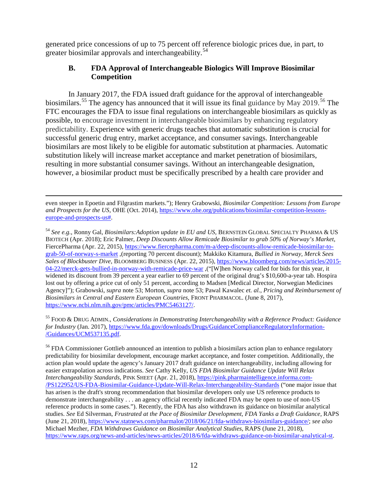generated price concessions of up to 75 percent off reference biologic prices due, in part, to greater biosimilar approvals and interchangeability.<sup>[54](#page-11-0)</sup>

## <span id="page-11-3"></span>**B. FDA Approval of Interchangeable Biologics Will Improve Biosimilar Competition**

In January 2017, the FDA issued draft guidance for the approval of interchangeable biosimilars.<sup>[55](#page-11-1)</sup> The agency has announced that it will issue its final guidance by May 2019.<sup>[56](#page-11-2)</sup> The FTC encourages the FDA to issue final regulations on interchangeable biosimilars as quickly as possible, to encourage investment in interchangeable biosimilars by enhancing regulatory predictability. Experience with generic drugs teaches that automatic substitution is crucial for successful generic drug entry, market acceptance, and consumer savings. Interchangeable biosimilars are most likely to be eligible for automatic substitution at pharmacies. Automatic substitution likely will increase market acceptance and market penetration of biosimilars, resulting in more substantial consumer savings. Without an interchangeable designation, however, a biosimilar product must be specifically prescribed by a health care provider and

 even steeper in Epoetin and Filgrastim markets."); Henry Grabowski, *Biosimilar Competition: Lessons from Europe and Prospects for the US,* OHE (Oct. 2014), [https://www.ohe.org/publications/biosimilar-competition-lessons](https://www.ohe.org/publications/biosimilar-competition-lessons-europe-and-prospects-us%23)[europe-and-prospects-us#.](https://www.ohe.org/publications/biosimilar-competition-lessons-europe-and-prospects-us%23)

<span id="page-11-0"></span><sup>54</sup> *See e.g.*, Ronny Gal, *Biosimilars:Adoption update in EU and US,* BERNSTEIN GLOBAL SPECIALTY PHARMA & US BIOTECH (Apr. 2018); Eric Palmer, *Deep Discounts Allow Remicade Biosimilar to grab 50% of Norway's Market*, FiercePharma (Apr. 22, 2015), [https://www.fiercepharma.com/m-a/deep-discounts-allow-remicade-biosimilar-to](https://www.fiercepharma.com/m-a/deep-discounts-allow-remicade-biosimilar-to-grab-50-of-norway-s-market)[grab-50-of-norway-s-market](https://www.fiercepharma.com/m-a/deep-discounts-allow-remicade-biosimilar-to-grab-50-of-norway-s-market) ,(reporting 70 percent discount); Makkiko Kitamura, *Bullied in Norway, Merck Sees Sales of Blockbuster Dive*, BLOOMBERG BUSINESS (Apr. 22, 2015)[, https://www.bloomberg.com/news/articles/2015-](https://www.bloomberg.com/news/articles/2015-04-22/merck-gets-bullied-in-norway-with-remicade-price-war) [04-22/merck-gets-bullied-in-norway-with-remicade-price-war](https://www.bloomberg.com/news/articles/2015-04-22/merck-gets-bullied-in-norway-with-remicade-price-war) ,("[W]hen Norway called for bids for this year, it widened its discount from 39 percent a year earlier to 69 percent of the original drug's \$10,600-a-year tab. Hospira lost out by offering a price cut of only 51 percent, according to Madsen [Medical Director, Norwegian Medicines Agency]"); Grabowski, *supra* note [53;](#page-10-7) Morton, *supra* not[e 53;](#page-10-7) Pawal Kawalec *et. al.*, *Pricing and Reimbursement of Biosimilars in Central and Eastern European Countries,* FRONT PHARMACOL. (June 8, 2017), [https://www.ncbi.nlm.nih.gov/pmc/articles/PMC5463127/.](https://www.ncbi.nlm.nih.gov/pmc/articles/PMC5463127/)

<span id="page-11-1"></span><sup>55</sup> FOOD & DRUG ADMIN., *Considerations in Demonstrating Interchangeability with a Reference Product: Guidance for Industry* (Jan. 2017), [https://www.fda.gov/downloads/Drugs/GuidanceComplianceRegulatoryInformation-](https://www.fda.gov/downloads/Drugs/GuidanceComplianceRegulatoryInformation/Guidances/UCM537135.pdf) [/Guidances/UCM537135.pdf.](https://www.fda.gov/downloads/Drugs/GuidanceComplianceRegulatoryInformation/Guidances/UCM537135.pdf)

<span id="page-11-2"></span><sup>56</sup> FDA Commissioner Gottlieb announced an intention to publish a biosimilars action plan to enhance regulatory predictability for biosimilar development, encourage market acceptance, and foster competition. Additionally, the action plan would update the agency's January 2017 draft guidance on interchangeability, including allowing for easier extrapolation across indications. *See* Cathy Kelly, *US FDA Biosimilar Guidance Update Will Relax Interchangeability Standards*, PINK SHEET (Apr. 21, 2018), [https://pink.pharmaintelligence.informa.com-](https://pink.pharmaintelligence.informa.com/PS122952/US-FDA-Biosimilar-Guidance-Update-Will-Relax-Interchangeability-Standards) [/PS122952/US-FDA-Biosimilar-Guidance-Update-Will-Relax-Interchangeability-Standards](https://pink.pharmaintelligence.informa.com/PS122952/US-FDA-Biosimilar-Guidance-Update-Will-Relax-Interchangeability-Standards) ("one major issue that has arisen is the draft's strong recommendation that biosimilar developers only use US reference products to demonstrate interchangeability . . . an agency official recently indicated FDA may be open to use of non-US reference products in some cases."). Recently, the FDA has also withdrawn its guidance on biosimilar analytical studies. *See* Ed Silverman, *Frustrated at the Pace of Biosimilar Development, FDA Yanks a Draft Guidance,* RAPS (June 21, 2018)[, https://www.statnews.com/pharmalot/2018/06/21/fda-withdraws-biosimilars-guidance/;](https://www.statnews.com/pharmalot/2018/06/21/fda-withdraws-biosimilars-guidance/) *see also*  Michael Mezher*, FDA Withdraws Guidance on Biosimilar Analytical Studies*, RAPS (June 21, 2018), [https://www.raps.org/news-and-articles/news-articles/2018/6/fda-withdraws-guidance-on-biosimilar-analytical-st.](https://www.raps.org/news-and-articles/news-articles/2018/6/fda-withdraws-guidance-on-biosimilar-analytical-st)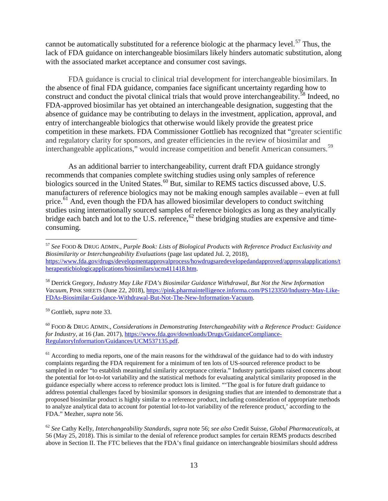cannot be automatically substituted for a reference biologic at the pharmacy level.<sup>[57](#page-12-0)</sup> Thus, the lack of FDA guidance on interchangeable biosimilars likely hinders automatic substitution, along with the associated market acceptance and consumer cost savings.

FDA guidance is crucial to clinical trial development for interchangeable biosimilars. In the absence of final FDA guidance, companies face significant uncertainty regarding how to construct and conduct the pivotal clinical trials that would prove interchangeability.<sup>[58](#page-12-1)</sup> Indeed, no FDA-approved biosimilar has yet obtained an interchangeable designation, suggesting that the absence of guidance may be contributing to delays in the investment, application, approval, and entry of interchangeable biologics that otherwise would likely provide the greatest price competition in these markets. FDA Commissioner Gottlieb has recognized that "greater scientific and regulatory clarity for sponsors, and greater efficiencies in the review of biosimilar and interchangeable applications," would increase competition and benefit American consumers.<sup>[59](#page-12-2)</sup>

As an additional barrier to interchangeability, current draft FDA guidance strongly recommends that companies complete switching studies using only samples of reference biologics sourced in the United States.<sup>[60](#page-12-3)</sup> But, similar to REMS tactics discussed above, U.S. manufacturers of reference biologics may not be making enough samples available – even at full price.<sup>[61](#page-12-4)</sup> And, even though the FDA has allowed biosimilar developers to conduct switching studies using internationally sourced samples of reference biologics as long as they analytically bridge each batch and lot to the U.S. reference, <sup>[62](#page-12-5)</sup> these bridging studies are expensive and timeconsuming.

<span id="page-12-1"></span><sup>58</sup> Derrick Gregory, *Industry May Like FDA's Biosimilar Guidance Withdrawal, But Not the New Information Vacuum*, PINK SHEETS (June 22, 2018), [https://pink.pharmaintelligence.informa.com/PS123350/Industry-May-Like-](https://pink.pharmaintelligence.informa.com/PS123350/Industry-May-Like-FDAs-Biosimilar-Guidance-Withdrawal-But-Not-The-New-Information-Vacuum)[FDAs-Biosimilar-Guidance-Withdrawal-But-Not-The-New-Information-Vacuum.](https://pink.pharmaintelligence.informa.com/PS123350/Industry-May-Like-FDAs-Biosimilar-Guidance-Withdrawal-But-Not-The-New-Information-Vacuum)

<span id="page-12-2"></span><sup>59</sup> Gottlieb, *supra* note [33.](#page-7-1)

<span id="page-12-3"></span><sup>60</sup> FOOD & DRUG ADMIN., *Considerations in Demonstrating Interchangeability with a Reference Product: Guidance for Industry*, at 16 (Jan. 2017)[, https://www.fda.gov/downloads/Drugs/GuidanceCompliance-](https://www.fda.gov/downloads/Drugs/GuidanceComplianceRegulatoryInformation/Guidances/UCM537135.pdf)[RegulatoryInformation/Guidances/UCM537135.pdf.](https://www.fda.gov/downloads/Drugs/GuidanceComplianceRegulatoryInformation/Guidances/UCM537135.pdf)

<span id="page-12-0"></span> <sup>57</sup> *See* FOOD & DRUG ADMIN., *Purple Book: Lists of Biological Products with Reference Product Exclusivity and Biosimilarity or Interchangeability Evaluations* (page last updated Jul. 2, 2018), [https://www.fda.gov/drugs/developmentapprovalprocess/howdrugsaredevelopedandapproved/approvalapplications/t](https://www.fda.gov/drugs/developmentapprovalprocess/howdrugsaredevelopedandapproved/approvalapplications/therapeuticbiologicapplications/biosimilars/ucm411418.htm) [herapeuticbiologicapplications/biosimilars/ucm411418.htm.](https://www.fda.gov/drugs/developmentapprovalprocess/howdrugsaredevelopedandapproved/approvalapplications/therapeuticbiologicapplications/biosimilars/ucm411418.htm)

<span id="page-12-4"></span> $<sup>61</sup>$  According to media reports, one of the main reasons for the withdrawal of the guidance had to do with industry</sup> complaints regarding the FDA requirement for a minimum of ten lots of US-sourced reference product to be sampled in order "to establish meaningful similarity acceptance criteria." Industry participants raised concerns about the potential for lot-to-lot variability and the statistical methods for evaluating analytical similarity proposed in the guidance especially where access to reference product lots is limited. "'The goal is for future draft guidance to address potential challenges faced by biosimilar sponsors in designing studies that are intended to demonstrate that a proposed biosimilar product is highly similar to a reference product, including consideration of appropriate methods to analyze analytical data to account for potential lot-to-lot variability of the reference product,' according to the FDA." Mezher, *supra* note [56.](#page-11-3)

<span id="page-12-5"></span><sup>62</sup> *See* Cathy Kelly, *Interchangeability Standards*, *supra* note [56;](#page-11-3) *see also* Credit Suisse, *Global Pharmaceuticals*, at 56 (May 25, 2018). This is similar to the denial of reference product samples for certain REMS products described above in Section II. The FTC believes that the FDA's final guidance on interchangeable biosimilars should address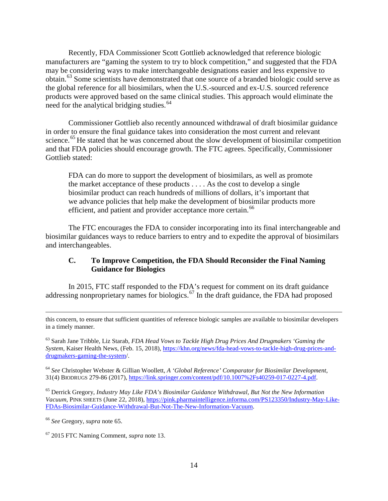Recently, FDA Commissioner Scott Gottlieb acknowledged that reference biologic manufacturers are "gaming the system to try to block competition," and suggested that the FDA may be considering ways to make interchangeable designations easier and less expensive to obtain. [63](#page-13-1) Some scientists have demonstrated that one source of a branded biologic could serve as the global reference for all biosimilars, when the U.S.-sourced and ex-U.S. sourced reference products were approved based on the same clinical studies. This approach would eliminate the need for the analytical bridging studies.<sup>[64](#page-13-2)</sup>

<span id="page-13-0"></span>Commissioner Gottlieb also recently announced withdrawal of draft biosimilar guidance in order to ensure the final guidance takes into consideration the most current and relevant science.<sup>[65](#page-13-3)</sup> He stated that he was concerned about the slow development of biosimilar competition and that FDA policies should encourage growth. The FTC agrees. Specifically, Commissioner Gottlieb stated:

FDA can do more to support the development of biosimilars, as well as promote the market acceptance of these products . . . . As the cost to develop a single biosimilar product can reach hundreds of millions of dollars, it's important that we advance policies that help make the development of biosimilar products more efficient, and patient and provider acceptance more certain.<sup>[66](#page-13-4)</sup>

The FTC encourages the FDA to consider incorporating into its final interchangeable and biosimilar guidances ways to reduce barriers to entry and to expedite the approval of biosimilars and interchangeables.

### **C. To Improve Competition, the FDA Should Reconsider the Final Naming Guidance for Biologics**

In 2015, FTC staff responded to the FDA's request for comment on its draft guidance addressing nonproprietary names for biologics.<sup>[67](#page-13-5)</sup> In the draft guidance, the FDA had proposed

this concern, to ensure that sufficient quantities of reference biologic samples are available to biosimilar developers in a timely manner.

<span id="page-13-1"></span><sup>63</sup> Sarah Jane Tribble, Liz Starab, *FDA Head Vows to Tackle High Drug Prices And Drugmakers 'Gaming the System,* Kaiser Health News, (Feb. 15, 2018), [https://khn.org/news/fda-head-vows-to-tackle-high-drug-prices-and](https://khn.org/news/fda-head-vows-to-tackle-high-drug-prices-and-drugmakers-gaming-the-system)[drugmakers-gaming-the-system/](https://khn.org/news/fda-head-vows-to-tackle-high-drug-prices-and-drugmakers-gaming-the-system).

<span id="page-13-2"></span><sup>64</sup> *See* Christopher Webster & Gillian Woollett, *A 'Global Reference' Comparator for Biosimilar Development*, 31(4) BIODRUGS 279-86 (2017), [https://link.springer.com/content/pdf/10.1007%2Fs40259-017-0227-4.pdf.](https://link.springer.com/content/pdf/10.1007%2Fs40259-017-0227-4.pdf)

<span id="page-13-3"></span><sup>65</sup> Derrick Gregory, *Industry May Like FDA's Biosimilar Guidance Withdrawal, But Not the New Information Vacuum*, PINK SHEETS (June 22, 2018), [https://pink.pharmaintelligence.informa.com/PS123350/Industry-May-Like-](https://pink.pharmaintelligence.informa.com/PS123350/Industry-May-Like-FDAs-Biosimilar-Guidance-Withdrawal-But-Not-The-New-Information-Vacuum)[FDAs-Biosimilar-Guidance-Withdrawal-But-Not-The-New-Information-Vacuum.](https://pink.pharmaintelligence.informa.com/PS123350/Industry-May-Like-FDAs-Biosimilar-Guidance-Withdrawal-But-Not-The-New-Information-Vacuum)

<span id="page-13-4"></span><sup>66</sup> *See* Gregory, *supra* not[e 65.](#page-13-0)

 $\overline{a}$ 

<span id="page-13-5"></span><sup>67</sup> 2015 FTC Naming Comment, *supra* note [13.](#page-2-5)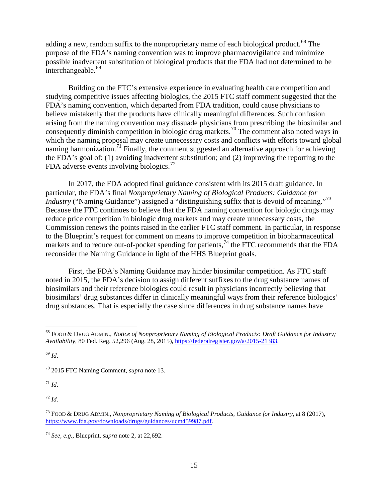adding a new, random suffix to the nonproprietary name of each biological product.<sup>[68](#page-14-0)</sup> The purpose of the FDA's naming convention was to improve pharmacovigilance and minimize possible inadvertent substitution of biological products that the FDA had not determined to be interchangeable.<sup>[69](#page-14-1)</sup>

Building on the FTC's extensive experience in evaluating health care competition and studying competitive issues affecting biologics, the 2015 FTC staff comment suggested that the FDA's naming convention, which departed from FDA tradition, could cause physicians to believe mistakenly that the products have clinically meaningful differences. Such confusion arising from the naming convention may dissuade physicians from prescribing the biosimilar and consequently diminish competition in biologic drug markets.<sup>[70](#page-14-2)</sup> The comment also noted ways in which the naming proposal may create unnecessary costs and conflicts with efforts toward global naming harmonization.<sup>[71](#page-14-3)</sup> Finally, the comment suggested an alternative approach for achieving the FDA's goal of: (1) avoiding inadvertent substitution; and (2) improving the reporting to the FDA adverse events involving biologics.<sup>[72](#page-14-4)</sup>

In 2017, the FDA adopted final guidance consistent with its 2015 draft guidance. In particular, the FDA's final *Nonproprietary Naming of Biological Products: Guidance for Industry* ("Naming Guidance") assigned a "distinguishing suffix that is devoid of meaning."<sup>[73](#page-14-5)</sup> Because the FTC continues to believe that the FDA naming convention for biologic drugs may reduce price competition in biologic drug markets and may create unnecessary costs, the Commission renews the points raised in the earlier FTC staff comment. In particular, in response to the Blueprint's request for comment on means to improve competition in biopharmaceutical markets and to reduce out-of-pocket spending for patients,<sup>[74](#page-14-6)</sup> the FTC recommends that the FDA reconsider the Naming Guidance in light of the HHS Blueprint goals.

First, the FDA's Naming Guidance may hinder biosimilar competition. As FTC staff noted in 2015, the FDA's decision to assign different suffixes to the drug substance names of biosimilars and their reference biologics could result in physicians incorrectly believing that biosimilars' drug substances differ in clinically meaningful ways from their reference biologics' drug substances. That is especially the case since differences in drug substance names have

<span id="page-14-1"></span><sup>69</sup> *Id*.

<span id="page-14-3"></span><sup>71</sup> *Id*.

<span id="page-14-4"></span> $72$  *Id.* 

<span id="page-14-0"></span> <sup>68</sup> FOOD & DRUG ADMIN., *Notice of Nonproprietary Naming of Biological Products: Draft Guidance for Industry; Availability*, 80 Fed. Reg. 52,296 (Aug. 28, 2015), [https://federalregister.gov/a/2015-21383.](https://federalregister.gov/a/2015-21383)

<span id="page-14-2"></span><sup>70</sup> 2015 FTC Naming Comment, *supra* note [13.](#page-2-5)

<span id="page-14-5"></span><sup>73</sup> FOOD & DRUG ADMIN., *Nonproprietary Naming of Biological Products*, *Guidance for Industry,* at 8 (2017), [https://www.fda.gov/downloads/drugs/guidances/ucm459987.pdf.](https://www.fda.gov/downloads/drugs/guidances/ucm459987.pdf)

<span id="page-14-6"></span><sup>74</sup> *See, e.g.*, Blueprint, *supra* note [2,](#page-0-4) at 22,692.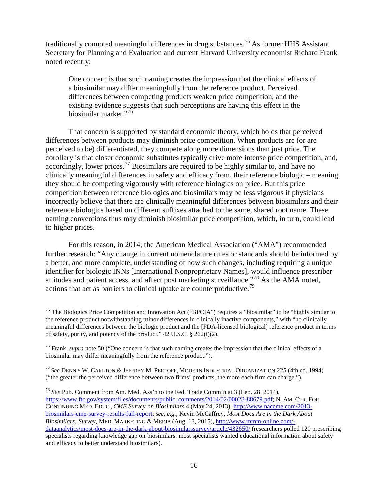traditionally connoted meaningful differences in drug substances.<sup>[75](#page-15-0)</sup> As former HHS Assistant Secretary for Planning and Evaluation and current Harvard University economist Richard Frank noted recently:

One concern is that such naming creates the impression that the clinical effects of a biosimilar may differ meaningfully from the reference product. Perceived differences between competing products weaken price competition, and the existing evidence suggests that such perceptions are having this effect in the biosimilar market."<sup>[76](#page-15-1)</sup>

That concern is supported by standard economic theory, which holds that perceived differences between products may diminish price competition. When products are (or are perceived to be) differentiated, they compete along more dimensions than just price. The corollary is that closer economic substitutes typically drive more intense price competition, and, accordingly, lower prices.<sup>[77](#page-15-2)</sup> Biosimilars are required to be highly similar to, and have no clinically meaningful differences in safety and efficacy from, their reference biologic – meaning they should be competing vigorously with reference biologics on price. But this price competition between reference biologics and biosimilars may be less vigorous if physicians incorrectly believe that there are clinically meaningful differences between biosimilars and their reference biologics based on different suffixes attached to the same, shared root name. These naming conventions thus may diminish biosimilar price competition, which, in turn, could lead to higher prices.

<span id="page-15-4"></span>For this reason, in 2014, the American Medical Association ("AMA") recommended further research: "Any change in current nomenclature rules or standards should be informed by a better, and more complete, understanding of how such changes, including requiring a unique identifier for biologic INNs [International Nonproprietary Names], would influence prescriber attitudes and patient access, and affect post marketing surveillance."[78](#page-15-3) As the AMA noted, actions that act as barriers to clinical uptake are counterproductive.<sup>[79](#page-15-4)</sup>

<span id="page-15-0"></span><sup>&</sup>lt;sup>75</sup> The Biologics Price Competition and Innovation Act ("BPCIA") requires a "biosimilar" to be "highly similar to the reference product notwithstanding minor differences in clinically inactive components," with "no clinically meaningful differences between the biologic product and the [FDA-licensed biological] reference product in terms of safety, purity, and potency of the product." 42 U.S.C. § 262(i)(2).

<span id="page-15-1"></span><sup>76</sup> Frank, *supra* note [50](#page-10-8) ("One concern is that such naming creates the impression that the clinical effects of a biosimilar may differ meaningfully from the reference product.").

<span id="page-15-2"></span><sup>77</sup> *See* DENNIS W. CARLTON & JEFFREY M. PERLOFF, MODERN INDUSTRIAL ORGANIZATION 225 (4th ed. 1994) ("the greater the perceived difference between two firms' products, the more each firm can charge.").

<span id="page-15-3"></span><sup>78</sup> *See* Pub. Comment from Am. Med. Ass'n to the Fed. Trade Comm'n at 3 (Feb. 28, 2014), [https://www.ftc.gov/system/files/documents/public\\_comments/2014/02/00023-88679.pdf;](https://www.ftc.gov/system/files/documents/public_comments/2014/02/00023-88679.pdf) N. AM. CTR. FOR CONTINUING MED. EDUC., *CME Survey on Biosimilars* 4 (May 24, 2013)[, http://www.naccme.com/2013](http://www.naccme.com/2013-biosimilars-cme-survey-results-full-report) [biosimilars-cme-survey-results-full-report;](http://www.naccme.com/2013-biosimilars-cme-survey-results-full-report) *see, e.g.*, Kevin McCaffrey, *Most Docs Are in the Dark About Biosimilars: Survey*, MED. MARKETING & MEDIA (Aug. 13, 2015)[, http://www.mmm-online.com/](http://www.mmm-online.com/dataanalytics/most-docs-are-in-the-dark-about-biosimilarssurvey/article/432650/) [dataanalytics/most-docs-are-in-the-dark-about-biosimilarssurvey/article/432650/](http://www.mmm-online.com/dataanalytics/most-docs-are-in-the-dark-about-biosimilarssurvey/article/432650/) (researchers polled 120 prescribing specialists regarding knowledge gap on biosimilars: most specialists wanted educational information about safety and efficacy to better understand biosimilars).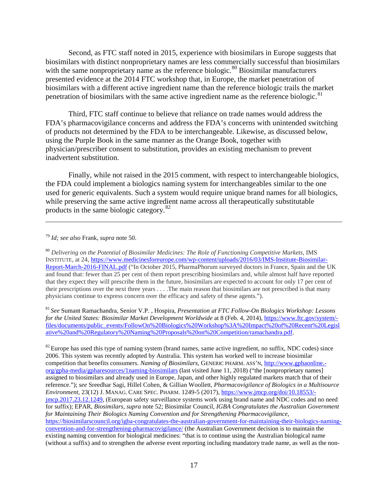Second, as FTC staff noted in 2015, experience with biosimilars in Europe suggests that biosimilars with distinct nonproprietary names are less commercially successful than biosimilars with the same nonproprietary name as the reference biologic.<sup>[80](#page-16-0)</sup> Biosimilar manufacturers presented evidence at the 2014 FTC workshop that, in Europe, the market penetration of biosimilars with a different active ingredient name than the reference biologic trails the market penetration of biosimilars with the same active ingredient name as the reference biologic.<sup>[81](#page-16-1)</sup>

Third, FTC staff continue to believe that reliance on trade names would address the FDA's pharmacovigilance concerns and address the FDA's concerns with unintended switching of products not determined by the FDA to be interchangeable. Likewise, as discussed below, using the Purple Book in the same manner as the Orange Book, together with physician/prescriber consent to substitution, provides an existing mechanism to prevent inadvertent substitution.

Finally, while not raised in the 2015 comment, with respect to interchangeable biologics, the FDA could implement a biologics naming system for interchangeables similar to the one used for generic equivalents. Such a system would require unique brand names for all biologics, while preserving the same active ingredient name across all therapeutically substitutable products in the same biologic category.[82](#page-16-2)

#### <sup>79</sup> *Id; see also* Frank, *supra* note [50.](#page-10-8)

 $\overline{a}$ 

<span id="page-16-0"></span><sup>80</sup> *Delivering on the Potential of Biosimilar Medicines: The Role of Functioning Competitive Markets,* IMS INSTITUTE, at 24, [https://www.medicinesforeurope.com/wp-content/uploads/2016/03/IMS-Institute-Biosimilar-](https://www.medicinesforeurope.com/wp-content/uploads/2016/03/IMS-Institute-Biosimilar-Report-March-2016-FINAL.pdf)[Report-March-2016-FINAL.pdf](https://www.medicinesforeurope.com/wp-content/uploads/2016/03/IMS-Institute-Biosimilar-Report-March-2016-FINAL.pdf) ("In October 2015, PharmaPhorum surveyed doctors in France, Spain and the UK and found that: fewer than 25 per cent of them report prescribing biosimilars and, while almost half have reported that they expect they will prescribe them in the future, biosimilars are expected to account for only 17 per cent of their prescriptions over the next three years . . . .The main reason that biosimilars are not prescribed is that many physicians continue to express concern over the efficacy and safety of these agents.").

<span id="page-16-1"></span><sup>81</sup> *See* Sumant Ramachandra, Senior V.P. , Hospira, *Presentation at FTC Follow-On Biologics Workshop: Lessons for the United States: Biosimilar Market Development Worldwide* at 8 (Feb. 4, 2014), [https://www.ftc.gov/system/](https://www.ftc.gov/system/files/documents/public_events/FollowOn%20Biologics%20Workshop%3A%20Impact%20of%20Recent%20Legislative%20and%20Regulatory%20Naming%20Proposals%20on%20Competition/ramachandra.pdf) [files/documents/public\\_events/FollowOn%20Biologics%20Workshop%3A%20Impact%20of%20Recent%20Legisl](https://www.ftc.gov/system/files/documents/public_events/FollowOn%20Biologics%20Workshop%3A%20Impact%20of%20Recent%20Legislative%20and%20Regulatory%20Naming%20Proposals%20on%20Competition/ramachandra.pdf) [ative%20and%20Regulatory%20Naming%20Proposals%20on%20Competition/ramachandra.pdf.](https://www.ftc.gov/system/files/documents/public_events/FollowOn%20Biologics%20Workshop%3A%20Impact%20of%20Recent%20Legislative%20and%20Regulatory%20Naming%20Proposals%20on%20Competition/ramachandra.pdf)

<span id="page-16-2"></span> $82$  Europe has used this type of naming system (brand names, same active ingredient, no suffix, NDC codes) since 2006. This system was recently adopted by Australia. This system has worked well to increase biosimilar competition that benefits consumers. *Naming of Biosimilars*, GENERIC PHARM. ASS'N, [http://www.gphaonline.](http://www.gphaonline.org/gpha-media/gpharesources/1naming-biosimilars) [org/gpha-media/gpharesources/1naming-biosimilars](http://www.gphaonline.org/gpha-media/gpharesources/1naming-biosimilars) (last visited June 11, 2018) ("the [nonproprietary names] assigned to biosimilars and already used in Europe, Japan, and other highly regulated markets match that of their reference."); *see* Sreedhar Sagi, Hillel Cohen, & Gillian Woollett, *Pharmacovigilance of Biologics in a Multisource Environment*, 23(12) J. MANAG. CARE SPEC. PHARM. 1249-5 (2017), [https://www.jmcp.org/doi/10.18553/](https://www.jmcp.org/doi/10.18553/jmcp.2017.23.12.1249) [jmcp.2017.23.12.1249,](https://www.jmcp.org/doi/10.18553/jmcp.2017.23.12.1249) (European safety surveillance systems work using brand name and NDC codes and no need for suffix); EPAR, *Biosimilars*, *supra* note [52;](#page-10-9) Biosimilar Council, *IGBA Congratulates the Australian Government for Maintaining Their Biologics Naming Convention and for Strengthening Pharmacovigilance*, [https://biosimilarscouncil.org/igba-congratulates-the-australian-government-for-maintaining-their-biologics-naming](https://biosimilarscouncil.org/igba-congratulates-the-australian-government-for-maintaining-their-biologics-naming-convention-and-for-strengthening-pharmacovigilance/)[convention-and-for-strengthening-pharmacovigilance/](https://biosimilarscouncil.org/igba-congratulates-the-australian-government-for-maintaining-their-biologics-naming-convention-and-for-strengthening-pharmacovigilance/) (the Australian Government decision is to maintain the existing naming convention for biological medicines: "that is to continue using the Australian biological name (without a suffix) and to strengthen the adverse event reporting including mandatory trade name, as well as the non-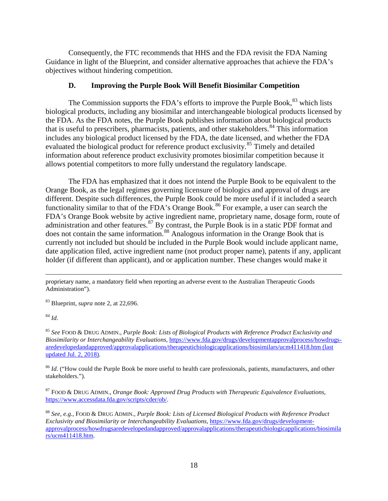Consequently, the FTC recommends that HHS and the FDA revisit the FDA Naming Guidance in light of the Blueprint, and consider alternative approaches that achieve the FDA's objectives without hindering competition.

### **D. Improving the Purple Book Will Benefit Biosimilar Competition**

The Commission supports the FDA's efforts to improve the Purple Book,<sup>[83](#page-17-0)</sup> which lists biological products, including any biosimilar and interchangeable biological products licensed by the FDA. As the FDA notes, the Purple Book publishes information about biological products that is useful to prescribers, pharmacists, patients, and other stakeholders.<sup>[84](#page-17-1)</sup> This information includes any biological product licensed by the FDA, the date licensed, and whether the FDA evaluated the biological product for reference product exclusivity.<sup>[85](#page-17-2)</sup> Timely and detailed information about reference product exclusivity promotes biosimilar competition because it allows potential competitors to more fully understand the regulatory landscape.

The FDA has emphasized that it does not intend the Purple Book to be equivalent to the Orange Book, as the legal regimes governing licensure of biologics and approval of drugs are different. Despite such differences, the Purple Book could be more useful if it included a search functionality similar to that of the FDA's Orange Book.<sup>[86](#page-17-3)</sup> For example, a user can search the FDA's Orange Book website by active ingredient name, proprietary name, dosage form, route of administration and other features.<sup>[87](#page-17-4)</sup> By contrast, the Purple Book is in a static PDF format and does not contain the same information.<sup>[88](#page-17-5)</sup> Analogous information in the Orange Book that is currently not included but should be included in the Purple Book would include applicant name, date application filed, active ingredient name (not product proper name), patents if any, applicant holder (if different than applicant), and or application number. These changes would make it

<span id="page-17-0"></span><sup>83</sup> Blueprint, *supra* note [2,](#page-0-4) at 22,696.

<span id="page-17-1"></span><sup>84</sup> *Id*.

<span id="page-17-2"></span><sup>85</sup> *See* FOOD & DRUG ADMIN., *Purple Book: Lists of Biological Products with Reference Product Exclusivity and Biosimilarity or Interchangeability Evaluations*, [https://www.fda.gov/drugs/developmentapprovalprocess/howdrugs](https://www.fda.gov/drugs/developmentapprovalprocess/howdrugsaredevelopedandapproved/approvalapplications/therapeuticbiologicapplications/biosimilars/ucm411418.htm)[aredevelopedandapproved/approvalapplications/therapeuticbiologicapplications/biosimilars/ucm411418.htm](https://www.fda.gov/drugs/developmentapprovalprocess/howdrugsaredevelopedandapproved/approvalapplications/therapeuticbiologicapplications/biosimilars/ucm411418.htm) (last updated Jul. 2, 2018).

<span id="page-17-3"></span><sup>86</sup> *Id*. ("How could the Purple Book be more useful to health care professionals, patients, manufacturers, and other stakeholders.").

<span id="page-17-4"></span><sup>87</sup> FOOD & DRUG ADMIN., *Orange Book: Approved Drug Products with Therapeutic Equivalence Evaluations*, [https://www.accessdata.fda.gov/scripts/cder/ob/.](https://www.accessdata.fda.gov/scripts/cder/ob/)

<span id="page-17-5"></span><sup>88</sup> *See, e.g.*, FOOD & DRUG ADMIN., *Purple Book: Lists of Licensed Biological Products with Reference Product Exclusivity and Biosimilarity or Interchangeability Evaluations*, [https://www.fda.gov/drugs/development](https://www.fda.gov/drugs/developmentapprovalprocess/howdrugsaredevelopedandapproved/approvalapplications/therapeuticbiologicapplications/biosimilars/ucm411418.htm)[approvalprocess/howdrugsaredevelopedandapproved/approvalapplications/therapeuticbiologicapplications/biosimila](https://www.fda.gov/drugs/developmentapprovalprocess/howdrugsaredevelopedandapproved/approvalapplications/therapeuticbiologicapplications/biosimilars/ucm411418.htm) [rs/ucm411418.htm.](https://www.fda.gov/drugs/developmentapprovalprocess/howdrugsaredevelopedandapproved/approvalapplications/therapeuticbiologicapplications/biosimilars/ucm411418.htm)

proprietary name, a mandatory field when reporting an adverse event to the Australian Therapeutic Goods Administration").